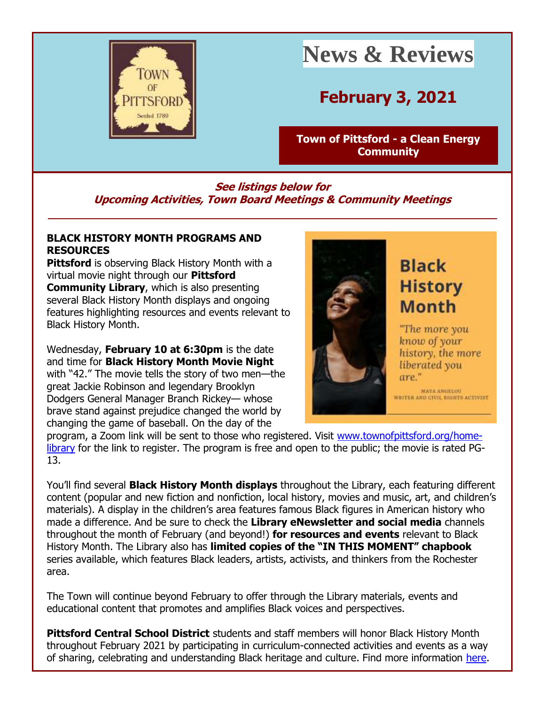

# **News & Reviews**

# **February 3, 2021**

**[Town of Pittsford -](http://r20.rs6.net/tn.jsp?f=001HOCjVa93jxRJYQK1hMLnbkFhOHzMZvXzwcTIztmNL9VfxQeX1hX6J1sGnQd0qKp7PnXUXvQjPQMsc-Pyf3Ph0imrKACPtfzgQl9HC-ivfCpfVChNDaq22-mafWd98JJGpKIOb1Js9HsvQ9A-zHDlQuDLT41vBUDB&c=6Fr--cTMcikgPHx4lnAKqC8Fz8P8y4bRL1aA3FVeAv4T4B-ND5D13w==&ch=eGuSL1RILDTm87OtlrIWTC12tJYuAIwdBV8vQXCYGLfUZyC-irnybA==) a Clean Energy [Community](http://r20.rs6.net/tn.jsp?f=001HOCjVa93jxRJYQK1hMLnbkFhOHzMZvXzwcTIztmNL9VfxQeX1hX6J1sGnQd0qKp7PnXUXvQjPQMsc-Pyf3Ph0imrKACPtfzgQl9HC-ivfCpfVChNDaq22-mafWd98JJGpKIOb1Js9HsvQ9A-zHDlQuDLT41vBUDB&c=6Fr--cTMcikgPHx4lnAKqC8Fz8P8y4bRL1aA3FVeAv4T4B-ND5D13w==&ch=eGuSL1RILDTm87OtlrIWTC12tJYuAIwdBV8vQXCYGLfUZyC-irnybA==)**

## **See listings below for Upcoming Activities, Town Board Meetings & Community Meetings**

#### **BLACK HISTORY MONTH PROGRAMS AND RESOURCES**

**Pittsford** is observing Black History Month with a virtual movie night through our **Pittsford Community Library**, which is also presenting several Black History Month displays and ongoing features highlighting resources and events relevant to Black History Month.

Wednesday, **February 10 at 6:30pm** is the date and time for **Black History Month Movie Night** with "42." The movie tells the story of two men—the great Jackie Robinson and legendary Brooklyn Dodgers General Manager Branch Rickey— whose brave stand against prejudice changed the world by changing the game of baseball. On the day of the



# **Black History Month**

"The more you know of your history, the more liberated you are."

**MAYA ANGELOU** WRITER AND CIVIL RIGHTS ACTIVIST

program, a Zoom link will be sent to those who registered. Visit [www.townofpittsford.org/home](http://r20.rs6.net/tn.jsp?f=001HOCjVa93jxRJYQK1hMLnbkFhOHzMZvXzwcTIztmNL9VfxQeX1hX6J1UZDBIPtKWNMnfkEbxTEVs_n4mgJSlMdtljym1IOedXOH3Hn68Q91iIIT_jTloIi8-E0qm-PRuBZ1goXl4rJDNsgAlHgt97VJfOqOE6auSi8TQtquEUP-k=&c=6Fr--cTMcikgPHx4lnAKqC8Fz8P8y4bRL1aA3FVeAv4T4B-ND5D13w==&ch=eGuSL1RILDTm87OtlrIWTC12tJYuAIwdBV8vQXCYGLfUZyC-irnybA==)[library](http://r20.rs6.net/tn.jsp?f=001HOCjVa93jxRJYQK1hMLnbkFhOHzMZvXzwcTIztmNL9VfxQeX1hX6J1UZDBIPtKWNMnfkEbxTEVs_n4mgJSlMdtljym1IOedXOH3Hn68Q91iIIT_jTloIi8-E0qm-PRuBZ1goXl4rJDNsgAlHgt97VJfOqOE6auSi8TQtquEUP-k=&c=6Fr--cTMcikgPHx4lnAKqC8Fz8P8y4bRL1aA3FVeAv4T4B-ND5D13w==&ch=eGuSL1RILDTm87OtlrIWTC12tJYuAIwdBV8vQXCYGLfUZyC-irnybA==) for the link to register. The program is free and open to the public; the movie is rated PG-13.

You'll find several **Black History Month displays** throughout the Library, each featuring different content (popular and new fiction and nonfiction, local history, movies and music, art, and children's materials). A display in the children's area features famous Black figures in American history who made a difference. And be sure to check the **Library eNewsletter and social media** channels throughout the month of February (and beyond!) **for resources and events** relevant to Black History Month. The Library also has **limited copies of the "IN THIS MOMENT" chapbook** series available, which features Black leaders, artists, activists, and thinkers from the Rochester area.

The Town will continue beyond February to offer through the Library materials, events and educational content that promotes and amplifies Black voices and perspectives.

**Pittsford Central School District** students and staff members will honor Black History Month throughout February 2021 by participating in curriculum-connected activities and events as a way of sharing, celebrating and understanding Black heritage and culture. Find more information [here.](http://r20.rs6.net/tn.jsp?f=001HOCjVa93jxRJYQK1hMLnbkFhOHzMZvXzwcTIztmNL9VfxQeX1hX6J6JjcfPxGeoNbarYuVzwNj1KyLZT5QwDSRM69JCNJZBgaIb8IjjvObpJIudncX9dY9rQmfyoSGEAAKG5FSH8nGZY_HuoOqxN5Ydh92L_M77jbXlgnRvWnkrytVL8DxXIGM3hVqCt3XRVjAKembxgB1fcgWzSeFKPfJj-OJnv3MIr43BAAJSD9Zq8Bz8HVZjx-9GOl8PY3Vj-4SFaI4hv_FcSI70HdeO6si6-1_RUB6uCU_XVuLmiEfL8S_bhLX1XZbv24Z3O5yBtHsTRSucZba0J39Vpxk4r42HJKbRHtnrLv-RxG2MZktNmbKc438cOLoLu85hwavv7ANSUJxefr84=&c=6Fr--cTMcikgPHx4lnAKqC8Fz8P8y4bRL1aA3FVeAv4T4B-ND5D13w==&ch=eGuSL1RILDTm87OtlrIWTC12tJYuAIwdBV8vQXCYGLfUZyC-irnybA==)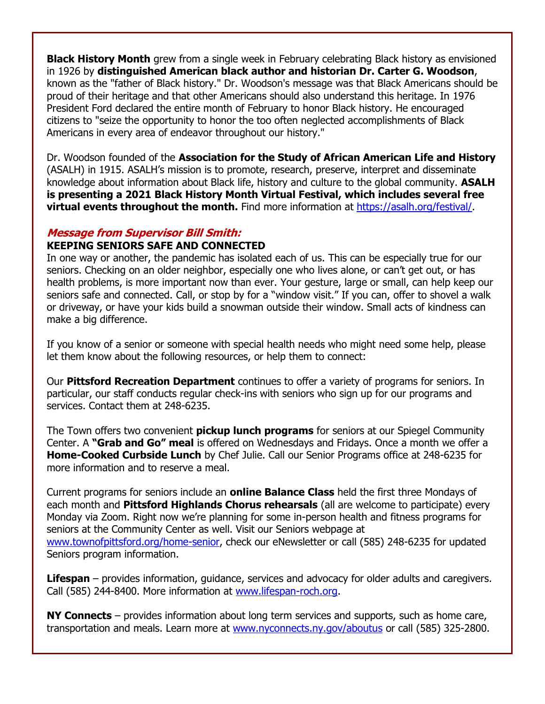**Black History Month** grew from a single week in February celebrating Black history as envisioned in 1926 by **distinguished American black author and historian Dr. Carter G. Woodson**, known as the "father of Black history." Dr. Woodson's message was that Black Americans should be proud of their heritage and that other Americans should also understand this heritage. In 1976 President Ford declared the entire month of February to honor Black history. He encouraged citizens to "seize the opportunity to honor the too often neglected accomplishments of Black Americans in every area of endeavor throughout our history."

Dr. Woodson founded of the **Association for the Study of African American Life and History** (ASALH) in 1915. ASALH's mission is to promote, research, preserve, interpret and disseminate knowledge about information about Black life, history and culture to the global community. **ASALH is presenting a 2021 Black History Month Virtual Festival, which includes several free virtual events throughout the month.** Find more information at [https://asalh.org/festival/.](http://r20.rs6.net/tn.jsp?f=001HOCjVa93jxRJYQK1hMLnbkFhOHzMZvXzwcTIztmNL9VfxQeX1hX6J6JjcfPxGeoNqjyqrss6c4vkdORMMUrshv_P_RaH4CiKa1oo7jrzDbsjnlSYSaaji6wQ2QCyPcjyU6GRrYYa7ajP60D_bGqeNw==&c=6Fr--cTMcikgPHx4lnAKqC8Fz8P8y4bRL1aA3FVeAv4T4B-ND5D13w==&ch=eGuSL1RILDTm87OtlrIWTC12tJYuAIwdBV8vQXCYGLfUZyC-irnybA==)

#### **Message from Supervisor Bill Smith:**

#### **KEEPING SENIORS SAFE AND CONNECTED**

In one way or another, the pandemic has isolated each of us. This can be especially true for our seniors. Checking on an older neighbor, especially one who lives alone, or can't get out, or has health problems, is more important now than ever. Your gesture, large or small, can help keep our seniors safe and connected. Call, or stop by for a "window visit." If you can, offer to shovel a walk or driveway, or have your kids build a snowman outside their window. Small acts of kindness can make a big difference.

If you know of a senior or someone with special health needs who might need some help, please let them know about the following resources, or help them to connect:

Our **Pittsford Recreation Department** continues to offer a variety of programs for seniors. In particular, our staff conducts regular check-ins with seniors who sign up for our programs and services. Contact them at 248-6235.

The Town offers two convenient **pickup lunch programs** for seniors at our Spiegel Community Center. A **"Grab and Go" meal** is offered on Wednesdays and Fridays. Once a month we offer a **Home-Cooked Curbside Lunch** by Chef Julie. Call our Senior Programs office at 248-6235 for more information and to reserve a meal.

Current programs for seniors include an **online Balance Class** held the first three Mondays of each month and **Pittsford Highlands Chorus rehearsals** (all are welcome to participate) every Monday via Zoom. Right now we're planning for some in-person health and fitness programs for seniors at the Community Center as well. Visit our Seniors webpage at [www.townofpittsford.org/home-senior,](http://r20.rs6.net/tn.jsp?f=001HOCjVa93jxRJYQK1hMLnbkFhOHzMZvXzwcTIztmNL9VfxQeX1hX6J6JjcfPxGeoNtrTxxDqRjp8RzqybuHdPICRNgYPkthG7RKNw__qUddMEej0ELgMkEpHcp0SeE1y9Rdjux3wD0VIiABLjyS9wALwgKoPQBoWRswPpnbesV-g=&c=6Fr--cTMcikgPHx4lnAKqC8Fz8P8y4bRL1aA3FVeAv4T4B-ND5D13w==&ch=eGuSL1RILDTm87OtlrIWTC12tJYuAIwdBV8vQXCYGLfUZyC-irnybA==) check our eNewsletter or call (585) 248-6235 for updated Seniors program information.

**Lifespan** – provides information, guidance, services and advocacy for older adults and caregivers. Call (585) 244-8400. More information at [www.lifespan-roch.org.](http://r20.rs6.net/tn.jsp?f=001HOCjVa93jxRJYQK1hMLnbkFhOHzMZvXzwcTIztmNL9VfxQeX1hX6Jynn-C2390khwbHQ29mGNLsPQ_YAKt-er2RG8w2DUQNsVrXY6M8JmBRVgOJorBgBm819n-5NOQIQ4WODyDtNCEMMTfRIGeyc2g==&c=6Fr--cTMcikgPHx4lnAKqC8Fz8P8y4bRL1aA3FVeAv4T4B-ND5D13w==&ch=eGuSL1RILDTm87OtlrIWTC12tJYuAIwdBV8vQXCYGLfUZyC-irnybA==)

**NY Connects** – provides information about long term services and supports, such as home care, transportation and meals. Learn more at [www.nyconnects.ny.gov/aboutus](http://r20.rs6.net/tn.jsp?f=001HOCjVa93jxRJYQK1hMLnbkFhOHzMZvXzwcTIztmNL9VfxQeX1hX6Jynn-C2390khj33CXnqQc9Ptk8BXIx1jUOR0XduqQN_2_zWVQcPT7AcAxCgK2yYmKovUKB9kADNHDdpmNInPqJPYGikV-ChEDzSX0ivTIZbB&c=6Fr--cTMcikgPHx4lnAKqC8Fz8P8y4bRL1aA3FVeAv4T4B-ND5D13w==&ch=eGuSL1RILDTm87OtlrIWTC12tJYuAIwdBV8vQXCYGLfUZyC-irnybA==) or call (585) 325-2800.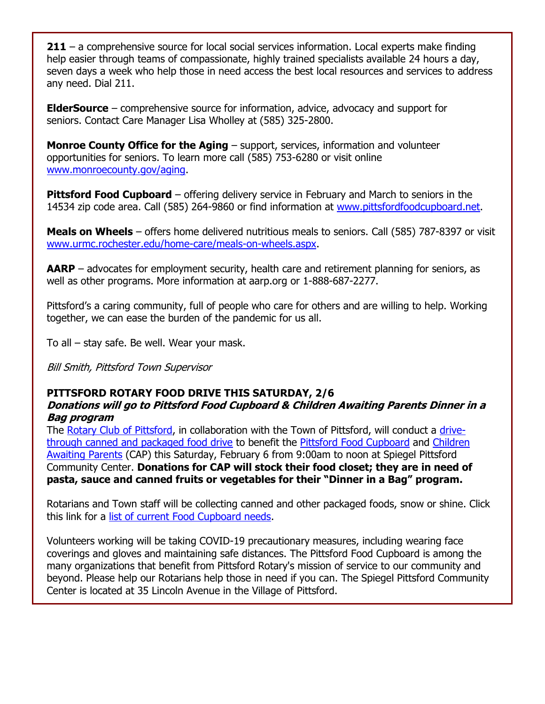**211** – a comprehensive source for local social services information. Local experts make finding help easier through teams of compassionate, highly trained specialists available 24 hours a day, seven days a week who help those in need access the best local resources and services to address any need. Dial 211.

**ElderSource** – comprehensive source for information, advice, advocacy and support for seniors. Contact Care Manager Lisa Wholley at (585) 325-2800.

**Monroe County Office for the Aging** – support, services, information and volunteer opportunities for seniors. To learn more call (585) 753-6280 or visit online [www.monroecounty.gov/aging.](http://r20.rs6.net/tn.jsp?f=001HOCjVa93jxRJYQK1hMLnbkFhOHzMZvXzwcTIztmNL9VfxQeX1hX6J6JjcfPxGeoNsDlcGlBqdD1NCf2GYUtl88TvrgdxWpNc8gEzjFQ6f1qufOkYy68Yxei6-SfJuS5gHAeI3_S9EnStn_jIV-VkRGoGwlYWxzQG&c=6Fr--cTMcikgPHx4lnAKqC8Fz8P8y4bRL1aA3FVeAv4T4B-ND5D13w==&ch=eGuSL1RILDTm87OtlrIWTC12tJYuAIwdBV8vQXCYGLfUZyC-irnybA==)

**Pittsford Food Cupboard** – offering delivery service in February and March to seniors in the 14534 zip code area. Call (585) 264-9860 or find information at [www.pittsfordfoodcupboard.net.](http://r20.rs6.net/tn.jsp?f=001HOCjVa93jxRJYQK1hMLnbkFhOHzMZvXzwcTIztmNL9VfxQeX1hX6J-Ep-xBAZgrsKq8HEfsbvJOR-MGJak98xCad87AE1UfGrKQduBLzzdJoEQpN-EwQMIAZTOZ_VMNNTMtW1GMqN4r0u-tXUTfvYWb7c9kSA_fc&c=6Fr--cTMcikgPHx4lnAKqC8Fz8P8y4bRL1aA3FVeAv4T4B-ND5D13w==&ch=eGuSL1RILDTm87OtlrIWTC12tJYuAIwdBV8vQXCYGLfUZyC-irnybA==)

**Meals on Wheels** – offers home delivered nutritious meals to seniors. Call (585) 787-8397 or visit [www.urmc.rochester.edu/home-care/meals-on-wheels.aspx.](http://r20.rs6.net/tn.jsp?f=001HOCjVa93jxRJYQK1hMLnbkFhOHzMZvXzwcTIztmNL9VfxQeX1hX6J6JjcfPxGeoNhdyhmczL3IDjD_73P2BAOCndeQ7UdPIXSMU2LnE5HAJxtdyntZmlfYsoJc7aGVBlHMku1fEJqPakExQqDI7xIwbd2g9nUIQyAiT-4i9LoZ9hVOehb7JYRbPH3P2O5zNG&c=6Fr--cTMcikgPHx4lnAKqC8Fz8P8y4bRL1aA3FVeAv4T4B-ND5D13w==&ch=eGuSL1RILDTm87OtlrIWTC12tJYuAIwdBV8vQXCYGLfUZyC-irnybA==)

**AARP** – advocates for employment security, health care and retirement planning for seniors, as well as other programs. More information at aarp.org or 1-888-687-2277.

Pittsford's a caring community, full of people who care for others and are willing to help. Working together, we can ease the burden of the pandemic for us all.

To all – stay safe. Be well. Wear your mask.

Bill Smith, Pittsford Town Supervisor

### **PITTSFORD ROTARY FOOD DRIVE THIS SATURDAY, 2/6**

#### **Donations will go to Pittsford Food Cupboard & Children Awaiting Parents Dinner in a Bag program**

The [Rotary Club of Pittsford,](http://r20.rs6.net/tn.jsp?f=001HOCjVa93jxRJYQK1hMLnbkFhOHzMZvXzwcTIztmNL9VfxQeX1hX6J4dKlUyaZNbd76UGo4pZUv-Zdkgk1ZksyYsY8hb18oLABAC7YXyE23nxK0pSzBcEkAQXgnF4jV40YJoY0Q0bIRdhfmqw5esLjO3fGWLKV516&c=6Fr--cTMcikgPHx4lnAKqC8Fz8P8y4bRL1aA3FVeAv4T4B-ND5D13w==&ch=eGuSL1RILDTm87OtlrIWTC12tJYuAIwdBV8vQXCYGLfUZyC-irnybA==) in collaboration with the Town of Pittsford, will conduct a [drive](http://r20.rs6.net/tn.jsp?f=001HOCjVa93jxRJYQK1hMLnbkFhOHzMZvXzwcTIztmNL9VfxQeX1hX6J0NDGYElcJOyCBZAeH4u_KNrncazFpAaaUMymTPw0AerQbhEjl0yNc91dhr4jCxW_tuLZbXobe05ncWO0o7sEeBCunWod6VNx_FYlwtbs0ArfmttPULSucdxpVfMyatY1klFZFmpCMwqSV_HAPNQbri7AgdR1xrX9c97zKt6rCWR&c=6Fr--cTMcikgPHx4lnAKqC8Fz8P8y4bRL1aA3FVeAv4T4B-ND5D13w==&ch=eGuSL1RILDTm87OtlrIWTC12tJYuAIwdBV8vQXCYGLfUZyC-irnybA==)[through canned and packaged food drive](http://r20.rs6.net/tn.jsp?f=001HOCjVa93jxRJYQK1hMLnbkFhOHzMZvXzwcTIztmNL9VfxQeX1hX6J0NDGYElcJOyCBZAeH4u_KNrncazFpAaaUMymTPw0AerQbhEjl0yNc91dhr4jCxW_tuLZbXobe05ncWO0o7sEeBCunWod6VNx_FYlwtbs0ArfmttPULSucdxpVfMyatY1klFZFmpCMwqSV_HAPNQbri7AgdR1xrX9c97zKt6rCWR&c=6Fr--cTMcikgPHx4lnAKqC8Fz8P8y4bRL1aA3FVeAv4T4B-ND5D13w==&ch=eGuSL1RILDTm87OtlrIWTC12tJYuAIwdBV8vQXCYGLfUZyC-irnybA==) to benefit the [Pittsford Food Cupboard](http://r20.rs6.net/tn.jsp?f=001HOCjVa93jxRJYQK1hMLnbkFhOHzMZvXzwcTIztmNL9VfxQeX1hX6J-Ep-xBAZgrsKq8HEfsbvJOR-MGJak98xCad87AE1UfGrKQduBLzzdJoEQpN-EwQMIAZTOZ_VMNNTMtW1GMqN4r0u-tXUTfvYWb7c9kSA_fc&c=6Fr--cTMcikgPHx4lnAKqC8Fz8P8y4bRL1aA3FVeAv4T4B-ND5D13w==&ch=eGuSL1RILDTm87OtlrIWTC12tJYuAIwdBV8vQXCYGLfUZyC-irnybA==) and [Children](http://r20.rs6.net/tn.jsp?f=001HOCjVa93jxRJYQK1hMLnbkFhOHzMZvXzwcTIztmNL9VfxQeX1hX6J0NDGYElcJOyubjMTVr26JRjs2myoiPnlD6IDOkhhWL-nmk3l2d7gT6uChUUJwQA7oVNlDD8VABwa2DY9_uYbeBrXUGRUWXzWsPdQ2fVLE3l&c=6Fr--cTMcikgPHx4lnAKqC8Fz8P8y4bRL1aA3FVeAv4T4B-ND5D13w==&ch=eGuSL1RILDTm87OtlrIWTC12tJYuAIwdBV8vQXCYGLfUZyC-irnybA==)  [Awaiting Parents](http://r20.rs6.net/tn.jsp?f=001HOCjVa93jxRJYQK1hMLnbkFhOHzMZvXzwcTIztmNL9VfxQeX1hX6J0NDGYElcJOyubjMTVr26JRjs2myoiPnlD6IDOkhhWL-nmk3l2d7gT6uChUUJwQA7oVNlDD8VABwa2DY9_uYbeBrXUGRUWXzWsPdQ2fVLE3l&c=6Fr--cTMcikgPHx4lnAKqC8Fz8P8y4bRL1aA3FVeAv4T4B-ND5D13w==&ch=eGuSL1RILDTm87OtlrIWTC12tJYuAIwdBV8vQXCYGLfUZyC-irnybA==) (CAP) this Saturday, February 6 from 9:00am to noon at Spiegel Pittsford Community Center. **Donations for CAP will stock their food closet; they are in need of pasta, sauce and canned fruits or vegetables for their "Dinner in a Bag" program.**

Rotarians and Town staff will be collecting canned and other packaged foods, snow or shine. Click this link for a [list of current Food Cupboard needs.](http://r20.rs6.net/tn.jsp?f=001HOCjVa93jxRJYQK1hMLnbkFhOHzMZvXzwcTIztmNL9VfxQeX1hX6J_rU0mkIQ1Fix69HLqs6ObCeRyl6FsSvbZPsCcu9iqdPvS3qTew9IwmgTLUzRmVex6X9SwSy24Jd98tXJeeoydR7sVOkIyBViFW0YcnLJhCkMTasaBQ1dg3exAogs1w0eKl7aLmrUPWG&c=6Fr--cTMcikgPHx4lnAKqC8Fz8P8y4bRL1aA3FVeAv4T4B-ND5D13w==&ch=eGuSL1RILDTm87OtlrIWTC12tJYuAIwdBV8vQXCYGLfUZyC-irnybA==)

Volunteers working will be taking COVID-19 precautionary measures, including wearing face coverings and gloves and maintaining safe distances. The Pittsford Food Cupboard is among the many organizations that benefit from Pittsford Rotary's mission of service to our community and beyond. Please help our Rotarians help those in need if you can. The Spiegel Pittsford Community Center is located at 35 Lincoln Avenue in the Village of Pittsford.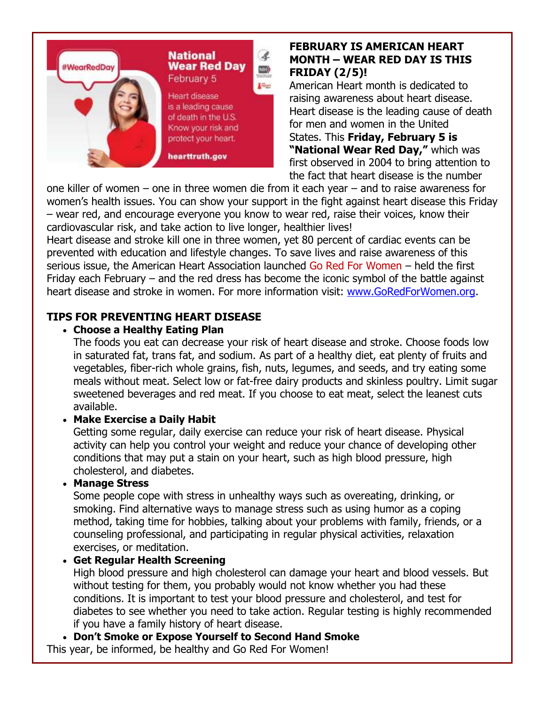

## **FEBRUARY IS AMERICAN HEART MONTH – WEAR RED DAY IS THIS FRIDAY (2/5)!**

American Heart month is dedicated to raising awareness about heart disease. Heart disease is the leading cause of death for men and women in the United States. This **Friday, February 5 is "National Wear Red Day,"** which was first observed in 2004 to bring attention to the fact that heart disease is the number

one killer of women – one in three women die from it each year – and to raise awareness for women's health issues. You can show your support in the fight against heart disease this Friday – wear red, and encourage everyone you know to wear red, raise their voices, know their cardiovascular risk, and take action to live longer, healthier lives!

Heart disease and stroke kill one in three women, yet 80 percent of cardiac events can be prevented with education and lifestyle changes. To save lives and raise awareness of this serious issue, the American Heart Association launched Go Red For Women – held the first Friday each February – and the red dress has become the iconic symbol of the battle against heart disease and stroke in women. For more information visit: [www.GoRedForWomen.org.](http://r20.rs6.net/tn.jsp?f=001HOCjVa93jxRJYQK1hMLnbkFhOHzMZvXzwcTIztmNL9VfxQeX1hX6J0FIHmUNqd5Iee5X2eJYfjkzSVp9QbuK35Jp9JNvIKDvJLq1K_mV1UP7E-58rzt8rcUG5DU1OzzBZ7DS08R8QfkZf8kb1SDLKQ==&c=6Fr--cTMcikgPHx4lnAKqC8Fz8P8y4bRL1aA3FVeAv4T4B-ND5D13w==&ch=eGuSL1RILDTm87OtlrIWTC12tJYuAIwdBV8vQXCYGLfUZyC-irnybA==)

# **TIPS FOR PREVENTING HEART DISEASE**

### **Choose a Healthy Eating Plan**

The foods you eat can decrease your risk of heart disease and stroke. Choose foods low in saturated fat, trans fat, and sodium. As part of a healthy diet, eat plenty of fruits and vegetables, fiber-rich whole grains, fish, nuts, legumes, and seeds, and try eating some meals without meat. Select low or fat-free dairy products and skinless poultry. Limit sugar sweetened beverages and red meat. If you choose to eat meat, select the leanest cuts available.

# **Make Exercise a Daily Habit**

Getting some regular, daily exercise can reduce your risk of heart disease. Physical activity can help you control your weight and reduce your chance of developing other conditions that may put a stain on your heart, such as high blood pressure, high cholesterol, and diabetes.

# **Manage Stress**

Some people cope with stress in unhealthy ways such as overeating, drinking, or smoking. Find alternative ways to manage stress such as using humor as a coping method, taking time for hobbies, talking about your problems with family, friends, or a counseling professional, and participating in regular physical activities, relaxation exercises, or meditation.

# **Get Regular Health Screening**

High blood pressure and high cholesterol can damage your heart and blood vessels. But without testing for them, you probably would not know whether you had these conditions. It is important to test your blood pressure and cholesterol, and test for diabetes to see whether you need to take action. Regular testing is highly recommended if you have a family history of heart disease.

**Don't Smoke or Expose Yourself to Second Hand Smoke**

This year, be informed, be healthy and Go Red For Women!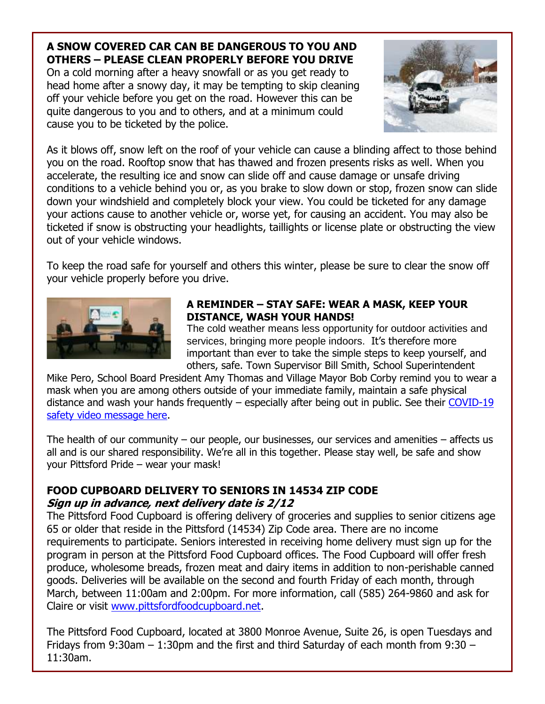# **A SNOW COVERED CAR CAN BE DANGEROUS TO YOU AND OTHERS – PLEASE CLEAN PROPERLY BEFORE YOU DRIVE**

On a cold morning after a heavy snowfall or as you get ready to head home after a snowy day, it may be tempting to skip cleaning off your vehicle before you get on the road. However this can be quite dangerous to you and to others, and at a minimum could cause you to be ticketed by the police.



As it blows off, snow left on the roof of your vehicle can cause a blinding affect to those behind you on the road. Rooftop snow that has thawed and frozen presents risks as well. When you accelerate, the resulting ice and snow can slide off and cause damage or unsafe driving conditions to a vehicle behind you or, as you brake to slow down or stop, frozen snow can slide down your windshield and completely block your view. You could be ticketed for any damage your actions cause to another vehicle or, worse yet, for causing an accident. You may also be ticketed if snow is obstructing your headlights, taillights or license plate or obstructing the view out of your vehicle windows.

To keep the road safe for yourself and others this winter, please be sure to clear the snow off your vehicle properly before you drive.



## **A REMINDER – STAY SAFE: WEAR A MASK, KEEP YOUR DISTANCE, WASH YOUR HANDS!**

The cold weather means less opportunity for outdoor activities and services, bringing more people indoors. It's therefore more important than ever to take the simple steps to keep yourself, and others, safe. Town Supervisor Bill Smith, School Superintendent

Mike Pero, School Board President Amy Thomas and Village Mayor Bob Corby remind you to wear a mask when you are among others outside of your immediate family, maintain a safe physical distance and wash your hands frequently – especially after being out in public. See their [COVID-19](http://r20.rs6.net/tn.jsp?f=001HOCjVa93jxRJYQK1hMLnbkFhOHzMZvXzwcTIztmNL9VfxQeX1hX6J2ZSrh2C6k1rWJ-6La2ed2QFhh1Ng6WUkaldPZlMkrpdKKprzLOlVXx4YKcA9KOmaSooZcvRsIylLJUyCOPv5fdDGCKTLWwCDQ==&c=6Fr--cTMcikgPHx4lnAKqC8Fz8P8y4bRL1aA3FVeAv4T4B-ND5D13w==&ch=eGuSL1RILDTm87OtlrIWTC12tJYuAIwdBV8vQXCYGLfUZyC-irnybA==)  [safety video message here.](http://r20.rs6.net/tn.jsp?f=001HOCjVa93jxRJYQK1hMLnbkFhOHzMZvXzwcTIztmNL9VfxQeX1hX6J2ZSrh2C6k1rWJ-6La2ed2QFhh1Ng6WUkaldPZlMkrpdKKprzLOlVXx4YKcA9KOmaSooZcvRsIylLJUyCOPv5fdDGCKTLWwCDQ==&c=6Fr--cTMcikgPHx4lnAKqC8Fz8P8y4bRL1aA3FVeAv4T4B-ND5D13w==&ch=eGuSL1RILDTm87OtlrIWTC12tJYuAIwdBV8vQXCYGLfUZyC-irnybA==)

The health of our community – our people, our businesses, our services and amenities – affects us all and is our shared responsibility. We're all in this together. Please stay well, be safe and show your Pittsford Pride – wear your mask!

# **FOOD CUPBOARD DELIVERY TO SENIORS IN 14534 ZIP CODE Sign up in advance, next delivery date is 2/12**

The Pittsford Food Cupboard is offering delivery of groceries and supplies to senior citizens age 65 or older that reside in the Pittsford (14534) Zip Code area. There are no income requirements to participate. Seniors interested in receiving home delivery must sign up for the program in person at the Pittsford Food Cupboard offices. The Food Cupboard will offer fresh produce, wholesome breads, frozen meat and dairy items in addition to non-perishable canned goods. Deliveries will be available on the second and fourth Friday of each month, through March, between 11:00am and 2:00pm. For more information, call (585) 264-9860 and ask for Claire or visit [www.pittsfordfoodcupboard.net.](http://r20.rs6.net/tn.jsp?f=001HOCjVa93jxRJYQK1hMLnbkFhOHzMZvXzwcTIztmNL9VfxQeX1hX6J-Ep-xBAZgrsKq8HEfsbvJOR-MGJak98xCad87AE1UfGrKQduBLzzdJoEQpN-EwQMIAZTOZ_VMNNTMtW1GMqN4r0u-tXUTfvYWb7c9kSA_fc&c=6Fr--cTMcikgPHx4lnAKqC8Fz8P8y4bRL1aA3FVeAv4T4B-ND5D13w==&ch=eGuSL1RILDTm87OtlrIWTC12tJYuAIwdBV8vQXCYGLfUZyC-irnybA==)

The Pittsford Food Cupboard, located at 3800 Monroe Avenue, Suite 26, is open Tuesdays and Fridays from 9:30am – 1:30pm and the first and third Saturday of each month from 9:30 – 11:30am.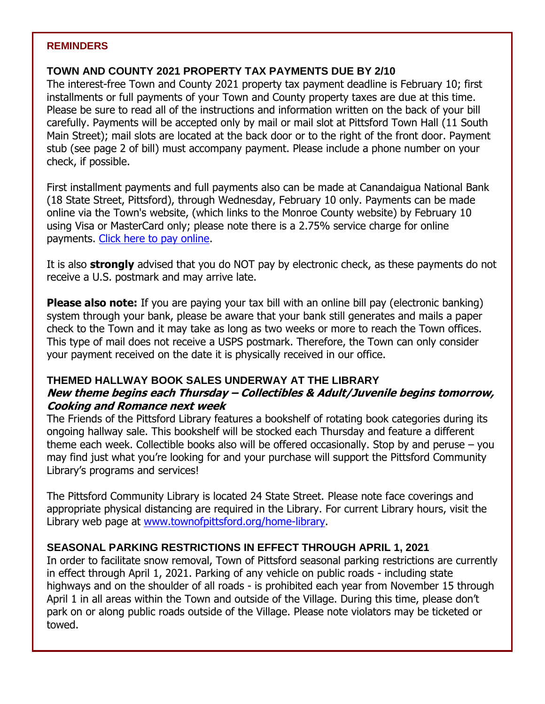#### **REMINDERS**

#### **TOWN AND COUNTY 2021 PROPERTY TAX PAYMENTS DUE BY 2/10**

The interest-free Town and County 2021 property tax payment deadline is February 10; first installments or full payments of your Town and County property taxes are due at this time. Please be sure to read all of the instructions and information written on the back of your bill carefully. Payments will be accepted only by mail or mail slot at Pittsford Town Hall (11 South Main Street); mail slots are located at the back door or to the right of the front door. Payment stub (see page 2 of bill) must accompany payment. Please include a phone number on your check, if possible.

First installment payments and full payments also can be made at Canandaigua National Bank (18 State Street, Pittsford), through Wednesday, February 10 only. Payments can be made online via the Town's website, (which links to the Monroe County website) by February 10 using Visa or MasterCard only; please note there is a 2.75% service charge for online payments. [Click here to pay online.](http://r20.rs6.net/tn.jsp?f=001HOCjVa93jxRJYQK1hMLnbkFhOHzMZvXzwcTIztmNL9VfxQeX1hX6J2bB9i5dTpYZ6NYbbFzIUcma1926MDW2yM6zQge1kqBbVGtdC_vRDE3wHI1-eaXk1z8l84O6mTxGgptRf5UdJhUqYPCP7kVWry-oco79OvY6fpnMpsbKWx6EikcCMMzZdw==&c=6Fr--cTMcikgPHx4lnAKqC8Fz8P8y4bRL1aA3FVeAv4T4B-ND5D13w==&ch=eGuSL1RILDTm87OtlrIWTC12tJYuAIwdBV8vQXCYGLfUZyC-irnybA==)

It is also **strongly** advised that you do NOT pay by electronic check, as these payments do not receive a U.S. postmark and may arrive late.

**Please also note:** If you are paying your tax bill with an online bill pay (electronic banking) system through your bank, please be aware that your bank still generates and mails a paper check to the Town and it may take as long as two weeks or more to reach the Town offices. This type of mail does not receive a USPS postmark. Therefore, the Town can only consider your payment received on the date it is physically received in our office.

### **THEMED HALLWAY BOOK SALES UNDERWAY AT THE LIBRARY New theme begins each Thursday – Collectibles & Adult/Juvenile begins tomorrow, Cooking and Romance next week**

The Friends of the Pittsford Library features a bookshelf of rotating book categories during its ongoing hallway sale. This bookshelf will be stocked each Thursday and feature a different theme each week. Collectible books also will be offered occasionally. Stop by and peruse – you may find just what you're looking for and your purchase will support the Pittsford Community Library's programs and services!

The Pittsford Community Library is located 24 State Street. Please note face coverings and appropriate physical distancing are required in the Library. For current Library hours, visit the Library web page at [www.townofpittsford.org/home-library.](http://r20.rs6.net/tn.jsp?f=001HOCjVa93jxRJYQK1hMLnbkFhOHzMZvXzwcTIztmNL9VfxQeX1hX6J1UZDBIPtKWNMnfkEbxTEVs_n4mgJSlMdtljym1IOedXOH3Hn68Q91iIIT_jTloIi8-E0qm-PRuBZ1goXl4rJDNsgAlHgt97VJfOqOE6auSi8TQtquEUP-k=&c=6Fr--cTMcikgPHx4lnAKqC8Fz8P8y4bRL1aA3FVeAv4T4B-ND5D13w==&ch=eGuSL1RILDTm87OtlrIWTC12tJYuAIwdBV8vQXCYGLfUZyC-irnybA==)

### **SEASONAL PARKING RESTRICTIONS IN EFFECT THROUGH APRIL 1, 2021**

In order to facilitate snow removal, Town of Pittsford seasonal parking restrictions are currently in effect through April 1, 2021. Parking of any vehicle on public roads - including state highways and on the shoulder of all roads - is prohibited each year from November 15 through April 1 in all areas within the Town and outside of the Village. During this time, please don't park on or along public roads outside of the Village. Please note violators may be ticketed or towed.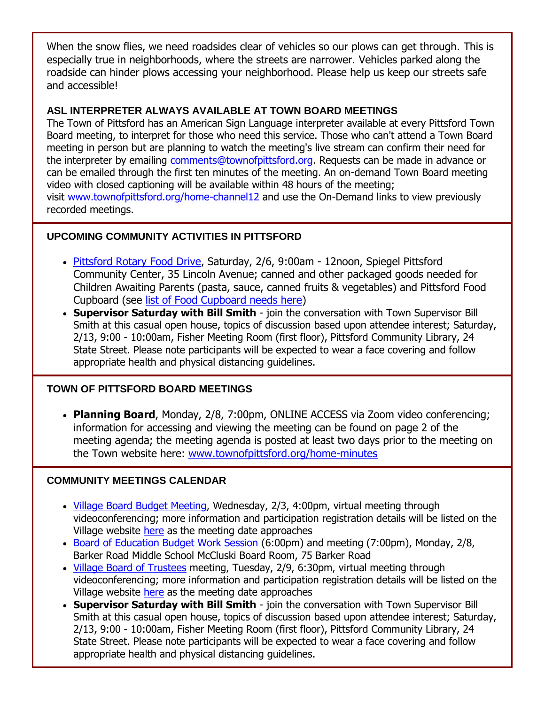When the snow flies, we need roadsides clear of vehicles so our plows can get through. This is especially true in neighborhoods, where the streets are narrower. Vehicles parked along the roadside can hinder plows accessing your neighborhood. Please help us keep our streets safe and accessible!

### **ASL INTERPRETER ALWAYS AVAILABLE AT TOWN BOARD MEETINGS**

The Town of Pittsford has an American Sign Language interpreter available at every Pittsford Town Board meeting, to interpret for those who need this service. Those who can't attend a Town Board meeting in person but are planning to watch the meeting's live stream can confirm their need for the interpreter by emailing [comments@townofpittsford.org.](mailto:comments@townofpittsford.org?subject=ASL%20interperter%20request%20for%20Town%20Board%20meeting) Requests can be made in advance or can be emailed through the first ten minutes of the meeting. An on-demand Town Board meeting video with closed captioning will be available within 48 hours of the meeting; visit [www.townofpittsford.org/home-channel12](http://r20.rs6.net/tn.jsp?f=001HOCjVa93jxRJYQK1hMLnbkFhOHzMZvXzwcTIztmNL9VfxQeX1hX6Jzsavssh_LsEULa_WrkJLzhw_iFLE_q3BHR2XtyTKzM53xDI68HnqTfJnn4YlpagKd_E-FCJ_XfdQWOvnEWRP98LJbq_yzMviinvDAp-GWXM4abqFmUB548=&c=6Fr--cTMcikgPHx4lnAKqC8Fz8P8y4bRL1aA3FVeAv4T4B-ND5D13w==&ch=eGuSL1RILDTm87OtlrIWTC12tJYuAIwdBV8vQXCYGLfUZyC-irnybA==) and use the On-Demand links to view previously recorded meetings.

# **UPCOMING COMMUNITY ACTIVITIES IN PITTSFORD**

- [Pittsford Rotary Food Drive,](http://r20.rs6.net/tn.jsp?f=001HOCjVa93jxRJYQK1hMLnbkFhOHzMZvXzwcTIztmNL9VfxQeX1hX6J0NDGYElcJOyCBZAeH4u_KNrncazFpAaaUMymTPw0AerQbhEjl0yNc91dhr4jCxW_tuLZbXobe05ncWO0o7sEeBCunWod6VNx_FYlwtbs0ArfmttPULSucdxpVfMyatY1klFZFmpCMwqSV_HAPNQbri7AgdR1xrX9c97zKt6rCWR&c=6Fr--cTMcikgPHx4lnAKqC8Fz8P8y4bRL1aA3FVeAv4T4B-ND5D13w==&ch=eGuSL1RILDTm87OtlrIWTC12tJYuAIwdBV8vQXCYGLfUZyC-irnybA==) Saturday, 2/6, 9:00am 12noon, Spiegel Pittsford Community Center, 35 Lincoln Avenue; canned and other packaged goods needed for Children Awaiting Parents (pasta, sauce, canned fruits & vegetables) and Pittsford Food Cupboard (see [list of Food Cupboard needs here\)](http://r20.rs6.net/tn.jsp?f=001HOCjVa93jxRJYQK1hMLnbkFhOHzMZvXzwcTIztmNL9VfxQeX1hX6J_rU0mkIQ1Fix69HLqs6ObCeRyl6FsSvbZPsCcu9iqdPvS3qTew9IwmgTLUzRmVex6X9SwSy24Jd98tXJeeoydR7sVOkIyBViFW0YcnLJhCkMTasaBQ1dg3exAogs1w0eKl7aLmrUPWG&c=6Fr--cTMcikgPHx4lnAKqC8Fz8P8y4bRL1aA3FVeAv4T4B-ND5D13w==&ch=eGuSL1RILDTm87OtlrIWTC12tJYuAIwdBV8vQXCYGLfUZyC-irnybA==)
- **Supervisor Saturday with Bill Smith** join the conversation with Town Supervisor Bill Smith at this casual open house, topics of discussion based upon attendee interest; Saturday, 2/13, 9:00 - 10:00am, Fisher Meeting Room (first floor), Pittsford Community Library, 24 State Street. Please note participants will be expected to wear a face covering and follow appropriate health and physical distancing guidelines.

### **TOWN OF PITTSFORD BOARD MEETINGS**

 **Planning Board**, Monday, 2/8, 7:00pm, ONLINE ACCESS via Zoom video conferencing; information for accessing and viewing the meeting can be found on page 2 of the meeting agenda; the meeting agenda is posted at least two days prior to the meeting on the Town website here: [www.townofpittsford.org/home-minutes](http://r20.rs6.net/tn.jsp?f=001HOCjVa93jxRJYQK1hMLnbkFhOHzMZvXzwcTIztmNL9VfxQeX1hX6J4dKlUyaZNbdzRty3N1cvjYliOsg8aNAkCa6PL6N4hJphTTtZRWWUqJdDNu3WTx7ETLTvfduzBC2nleLNRShnG6l6SxSZHYP5clbYDj4lMnf9lzxl76sF-U=&c=6Fr--cTMcikgPHx4lnAKqC8Fz8P8y4bRL1aA3FVeAv4T4B-ND5D13w==&ch=eGuSL1RILDTm87OtlrIWTC12tJYuAIwdBV8vQXCYGLfUZyC-irnybA==)

# **COMMUNITY MEETINGS CALENDAR**

- [Village Board Budget Meeting,](http://r20.rs6.net/tn.jsp?f=001HOCjVa93jxRJYQK1hMLnbkFhOHzMZvXzwcTIztmNL9VfxQeX1hX6J6JjcfPxGeoNoZGyRj5voiLII4U4NBxySNIpEFCn6S6FGBBjI-lfPas6UpKz9LWpxKYBuf4jJ9AzHp6mr45e6w-0nRjULvxKu5vIqDtFqyfSppuVZUcweDS8b-h-1q-_v0aD6ogTU_vOHV9QKwzdIUd-_WlNA-ynBE9FwEZLYZqbum9hGE_FwUzSxVGaxRFIIy5T1bRx2Eqp0rK-fYWBfHd4lfYZYOzxoZNRj2Zhl7c5&c=6Fr--cTMcikgPHx4lnAKqC8Fz8P8y4bRL1aA3FVeAv4T4B-ND5D13w==&ch=eGuSL1RILDTm87OtlrIWTC12tJYuAIwdBV8vQXCYGLfUZyC-irnybA==) Wednesday, 2/3, 4:00pm, virtual meeting through videoconferencing; more information and participation registration details will be listed on the Village website [here](http://r20.rs6.net/tn.jsp?f=001HOCjVa93jxRJYQK1hMLnbkFhOHzMZvXzwcTIztmNL9VfxQeX1hX6J6JjcfPxGeoNoZGyRj5voiLII4U4NBxySNIpEFCn6S6FGBBjI-lfPas6UpKz9LWpxKYBuf4jJ9AzHp6mr45e6w-0nRjULvxKu5vIqDtFqyfSppuVZUcweDS8b-h-1q-_v0aD6ogTU_vOHV9QKwzdIUd-_WlNA-ynBE9FwEZLYZqbum9hGE_FwUzSxVGaxRFIIy5T1bRx2Eqp0rK-fYWBfHd4lfYZYOzxoZNRj2Zhl7c5&c=6Fr--cTMcikgPHx4lnAKqC8Fz8P8y4bRL1aA3FVeAv4T4B-ND5D13w==&ch=eGuSL1RILDTm87OtlrIWTC12tJYuAIwdBV8vQXCYGLfUZyC-irnybA==) as the meeting date approaches
- [Board of Education Budget Work Session](http://r20.rs6.net/tn.jsp?f=001HOCjVa93jxRJYQK1hMLnbkFhOHzMZvXzwcTIztmNL9VfxQeX1hX6J5BHFpwGt6brfkd-ImApwDtYSfUfN0ZwAWP5IL523uEJB9r32O_69-F5P_V9lU_LlhDdeub6Al8j4TR1DLuVx_QHnzE-6uLzm27Pw1vxlykAIjqHjoVZsaPWHvcb46IDoHBwlfNFwc_sEdLNo4x3WB-sFTYrHtmo1-Rczopj3VjsA5v5h5-FlJkloJ-H3EOMU0kxJceZye7lztiKfdYu_uQ=&c=6Fr--cTMcikgPHx4lnAKqC8Fz8P8y4bRL1aA3FVeAv4T4B-ND5D13w==&ch=eGuSL1RILDTm87OtlrIWTC12tJYuAIwdBV8vQXCYGLfUZyC-irnybA==) (6:00pm) and meeting (7:00pm), Monday, 2/8, Barker Road Middle School McCluski Board Room, 75 Barker Road
- [Village Board of Trustees](http://r20.rs6.net/tn.jsp?f=001HOCjVa93jxRJYQK1hMLnbkFhOHzMZvXzwcTIztmNL9VfxQeX1hX6J6JjcfPxGeoNQRTFiAommI9ZwbMQlhoJu0QLYuKq_WS-sv3EnGP2UiyMDvwQKkHbvRsiALvL0DyW1z7bYsoZJMlgDh6wwMAoHeJtjtW5CwpEe1sVVsMjNRku0vG_MPYl8Jg8_rmwWpT0lWpIz6osVlJ_Y1stsioKV-pwZipKtxpxHXOH6xHOXNxBb2SAddn_yqa58zgBlm7VNbZEKVMSb2ndmgPC3C-vDehjfIdaq8yH&c=6Fr--cTMcikgPHx4lnAKqC8Fz8P8y4bRL1aA3FVeAv4T4B-ND5D13w==&ch=eGuSL1RILDTm87OtlrIWTC12tJYuAIwdBV8vQXCYGLfUZyC-irnybA==) meeting, Tuesday, 2/9, 6:30pm, virtual meeting through videoconferencing; more information and participation registration details will be listed on the Village website [here](http://r20.rs6.net/tn.jsp?f=001HOCjVa93jxRJYQK1hMLnbkFhOHzMZvXzwcTIztmNL9VfxQeX1hX6J6JjcfPxGeoNQRTFiAommI9ZwbMQlhoJu0QLYuKq_WS-sv3EnGP2UiyMDvwQKkHbvRsiALvL0DyW1z7bYsoZJMlgDh6wwMAoHeJtjtW5CwpEe1sVVsMjNRku0vG_MPYl8Jg8_rmwWpT0lWpIz6osVlJ_Y1stsioKV-pwZipKtxpxHXOH6xHOXNxBb2SAddn_yqa58zgBlm7VNbZEKVMSb2ndmgPC3C-vDehjfIdaq8yH&c=6Fr--cTMcikgPHx4lnAKqC8Fz8P8y4bRL1aA3FVeAv4T4B-ND5D13w==&ch=eGuSL1RILDTm87OtlrIWTC12tJYuAIwdBV8vQXCYGLfUZyC-irnybA==) as the meeting date approaches
- **Supervisor Saturday with Bill Smith** join the conversation with Town Supervisor Bill Smith at this casual open house, topics of discussion based upon attendee interest; Saturday, 2/13, 9:00 - 10:00am, Fisher Meeting Room (first floor), Pittsford Community Library, 24 State Street. Please note participants will be expected to wear a face covering and follow appropriate health and physical distancing guidelines.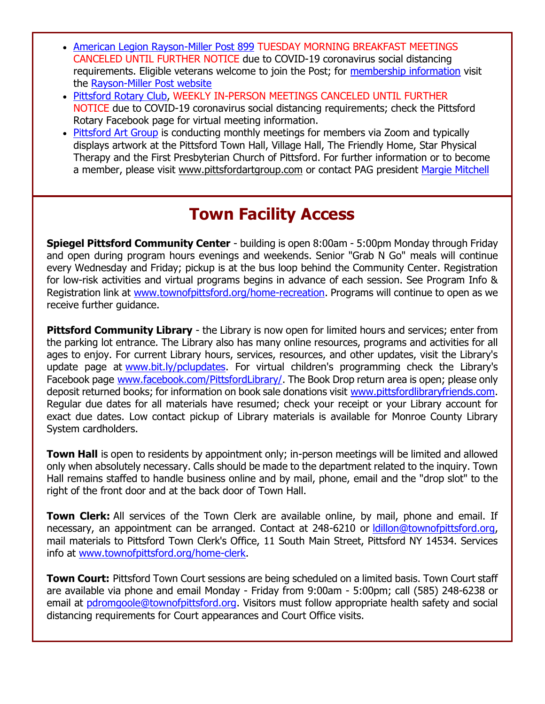- [American Legion Rayson-Miller Post 899](http://r20.rs6.net/tn.jsp?f=001HOCjVa93jxRJYQK1hMLnbkFhOHzMZvXzwcTIztmNL9VfxQeX1hX6J-Ep-xBAZgrsfaH-_dCGh-ahe6SG4aOpqHsy9RJx84uuws-cfrA41X_cH3qniIcbospYcRGuDBUIKG5_LkjOg_SLtsoBvPHAhiAmoPxh0jhQ&c=6Fr--cTMcikgPHx4lnAKqC8Fz8P8y4bRL1aA3FVeAv4T4B-ND5D13w==&ch=eGuSL1RILDTm87OtlrIWTC12tJYuAIwdBV8vQXCYGLfUZyC-irnybA==) TUESDAY MORNING BREAKFAST MEETINGS CANCELED UNTIL FURTHER NOTICE due to COVID-19 coronavirus social distancing requirements. Eligible veterans welcome to join the Post; for [membership information](http://r20.rs6.net/tn.jsp?f=001HOCjVa93jxRJYQK1hMLnbkFhOHzMZvXzwcTIztmNL9VfxQeX1hX6J-Ep-xBAZgrsgxyuftHoOGuMsBW4t7sYZ33rb1oNgAwgZOHFy4DC34QZHHDEbpKyvPdhKMuhP44gedkOdP1oPG9ln8vL_0iTHg1Kh1HpXJdarmuWYXAd7XdeMfQYzF2FomN-YFqxUkI4&c=6Fr--cTMcikgPHx4lnAKqC8Fz8P8y4bRL1aA3FVeAv4T4B-ND5D13w==&ch=eGuSL1RILDTm87OtlrIWTC12tJYuAIwdBV8vQXCYGLfUZyC-irnybA==) visit the [Rayson-Miller Post website](http://r20.rs6.net/tn.jsp?f=001HOCjVa93jxRJYQK1hMLnbkFhOHzMZvXzwcTIztmNL9VfxQeX1hX6J_k63YCh8d1ZA18wb_rCGFBsZ_YAreEqIuFzyadeWkgNpBe4U1-ICI4s8o3RWz0rm-vmVKl332fmZGMqATM9JmsNXHxiXX9tpIG4M2uAjiVF21qqkkivm4NGfRNZbpT3iHwgyykiVv0ZijyZ6NKAuc6Cq8mVuoF6sr0LFPpqGhsyUiDE_FfwxF8OSnNgpdomYuXKvX5uc8cC&c=6Fr--cTMcikgPHx4lnAKqC8Fz8P8y4bRL1aA3FVeAv4T4B-ND5D13w==&ch=eGuSL1RILDTm87OtlrIWTC12tJYuAIwdBV8vQXCYGLfUZyC-irnybA==)
- [Pittsford Rotary Club,](http://r20.rs6.net/tn.jsp?f=001HOCjVa93jxRJYQK1hMLnbkFhOHzMZvXzwcTIztmNL9VfxQeX1hX6J4dKlUyaZNbd76UGo4pZUv-Zdkgk1ZksyYsY8hb18oLABAC7YXyE23nxK0pSzBcEkAQXgnF4jV40YJoY0Q0bIRdhfmqw5esLjO3fGWLKV516&c=6Fr--cTMcikgPHx4lnAKqC8Fz8P8y4bRL1aA3FVeAv4T4B-ND5D13w==&ch=eGuSL1RILDTm87OtlrIWTC12tJYuAIwdBV8vQXCYGLfUZyC-irnybA==) WEEKLY IN-PERSON MEETINGS CANCELED UNTIL FURTHER NOTICE due to COVID-19 coronavirus social distancing requirements; check the Pittsford Rotary Facebook page for virtual meeting information.
- [Pittsford Art Group](http://r20.rs6.net/tn.jsp?f=001HOCjVa93jxRJYQK1hMLnbkFhOHzMZvXzwcTIztmNL9VfxQeX1hX6J3cIp8069rUJc1-8IJw849vCj7gltvK_UNbyxIxWkhpMMnXVaWoPryzbHHJny5cnypVS9D_ApsETNxQMwxmn3TQVnqVQusPxaaJs1kbICrCVsVQ2kol8b1Y=&c=6Fr--cTMcikgPHx4lnAKqC8Fz8P8y4bRL1aA3FVeAv4T4B-ND5D13w==&ch=eGuSL1RILDTm87OtlrIWTC12tJYuAIwdBV8vQXCYGLfUZyC-irnybA==) is conducting monthly meetings for members via Zoom and typically displays artwork at the Pittsford Town Hall, Village Hall, The Friendly Home, Star Physical Therapy and the First Presbyterian Church of Pittsford. For further information or to become a member, please visit [www.pittsfordartgroup.com](http://r20.rs6.net/tn.jsp?f=001HOCjVa93jxRJYQK1hMLnbkFhOHzMZvXzwcTIztmNL9VfxQeX1hX6JxtmrZQEPV1i4NxIldk_0Wh8S81BjpEsR35f0YxFL_lwepNs484rV4_LMPmeCBugamOI77ZTSH6o2MttKFxtPeyPQxBaVQ5aSwuuGCAb-ACZ&c=6Fr--cTMcikgPHx4lnAKqC8Fz8P8y4bRL1aA3FVeAv4T4B-ND5D13w==&ch=eGuSL1RILDTm87OtlrIWTC12tJYuAIwdBV8vQXCYGLfUZyC-irnybA==) or contact PAG president [Margie Mitchell](mailto:mhsmitchell@gmail.com?subject=Pittsford%20Art%20Group%20Meetings%20and%20Membership)

# **Town Facility Access**

**Spiegel Pittsford Community Center** - building is open 8:00am - 5:00pm Monday through Friday and open during program hours evenings and weekends. Senior "Grab N Go" meals will continue every Wednesday and Friday; pickup is at the bus loop behind the Community Center. Registration for low-risk activities and virtual programs begins in advance of each session. See Program Info & Registration link at [www.townofpittsford.org/home-recreation.](http://r20.rs6.net/tn.jsp?f=001HOCjVa93jxRJYQK1hMLnbkFhOHzMZvXzwcTIztmNL9VfxQeX1hX6JycWsz4hgBGL03imwzaOC-Thn_tFqVNDRpe6qDtMRlcqGm3uyzKjf_auuiym05M4bN4XCtdJsLXy7LWCccZ4gVh58zJJp_HETUWW1tOt6HMCBAqPR7eB2-XU0-mqczYJvg==&c=6Fr--cTMcikgPHx4lnAKqC8Fz8P8y4bRL1aA3FVeAv4T4B-ND5D13w==&ch=eGuSL1RILDTm87OtlrIWTC12tJYuAIwdBV8vQXCYGLfUZyC-irnybA==) Programs will continue to open as we receive further quidance.

**Pittsford Community Library** - the Library is now open for limited hours and services; enter from the parking lot entrance. The Library also has many online resources, programs and activities for all ages to enjoy. For current Library hours, services, resources, and other updates, visit the Library's update page at [www.bit.ly/pclupdates.](http://r20.rs6.net/tn.jsp?f=001HOCjVa93jxRJYQK1hMLnbkFhOHzMZvXzwcTIztmNL9VfxQeX1hX6J7kkL7Div8rDsDVzFhA-1Uzkjgk4pstKoCFtIF3M7-D1c6APe1v8pDzSLe3vrQ343-1PG4-76nB5bH4VnxFy9ts_oHR6QgZNnw==&c=6Fr--cTMcikgPHx4lnAKqC8Fz8P8y4bRL1aA3FVeAv4T4B-ND5D13w==&ch=eGuSL1RILDTm87OtlrIWTC12tJYuAIwdBV8vQXCYGLfUZyC-irnybA==) For virtual children's programming check the Library's Facebook page [www.facebook.com/PittsfordLibrary/.](http://r20.rs6.net/tn.jsp?f=001HOCjVa93jxRJYQK1hMLnbkFhOHzMZvXzwcTIztmNL9VfxQeX1hX6JySXPQcJAQQcweyazwy_ciRx_b00pJ-PPg-osvaniJK9xsEKwV5T2H9EHjEX1pQDYYEAohDQuyvxv95gUp8RYFG__845pazX8hJzW-86T5r32f_7kc3Rm54=&c=6Fr--cTMcikgPHx4lnAKqC8Fz8P8y4bRL1aA3FVeAv4T4B-ND5D13w==&ch=eGuSL1RILDTm87OtlrIWTC12tJYuAIwdBV8vQXCYGLfUZyC-irnybA==) The Book Drop return area is open; please only deposit returned books; for information on book sale donations visit [www.pittsfordlibraryfriends.com.](http://r20.rs6.net/tn.jsp?f=001HOCjVa93jxRJYQK1hMLnbkFhOHzMZvXzwcTIztmNL9VfxQeX1hX6J84wWJRaR75hGxkLudZRxvwiKU937VGYPbeZ0ePolR7ueJ8IyQpwbdJQPui1fzSgTfEKdSDN-B-NnYJqKRh8OptRnSXbRgvCXGyQjqZorBrhxyP_AqyD2AI=&c=6Fr--cTMcikgPHx4lnAKqC8Fz8P8y4bRL1aA3FVeAv4T4B-ND5D13w==&ch=eGuSL1RILDTm87OtlrIWTC12tJYuAIwdBV8vQXCYGLfUZyC-irnybA==) Regular due dates for all materials have resumed; check your receipt or your Library account for exact due dates. Low contact pickup of Library materials is available for Monroe County Library System cardholders.

**Town Hall** is open to residents by appointment only; in-person meetings will be limited and allowed only when absolutely necessary. Calls should be made to the department related to the inquiry. Town Hall remains staffed to handle business online and by mail, phone, email and the "drop slot" to the right of the front door and at the back door of Town Hall.

**Town Clerk:** All services of the Town Clerk are available online, by mail, phone and email. If necessary, an appointment can be arranged. Contact at 248-6210 or Idillon@townofpittsford.org, mail materials to Pittsford Town Clerk's Office, 11 South Main Street, Pittsford NY 14534. Services info at [www.townofpittsford.org/home-clerk.](http://r20.rs6.net/tn.jsp?f=001HOCjVa93jxRJYQK1hMLnbkFhOHzMZvXzwcTIztmNL9VfxQeX1hX6JxcC6SI_2nD_EGaEsFfRqQxfimkzzJ8Z0yiCby7B2yE5ziyeEqxa0TQmQ0E59_5bBAoKjkzfzkq3_nOel39DiS9jpqypf95B-gEFZkImbDLiQUWmsiBX4sE=&c=6Fr--cTMcikgPHx4lnAKqC8Fz8P8y4bRL1aA3FVeAv4T4B-ND5D13w==&ch=eGuSL1RILDTm87OtlrIWTC12tJYuAIwdBV8vQXCYGLfUZyC-irnybA==)

**Town Court:** Pittsford Town Court sessions are being scheduled on a limited basis. Town Court staff are available via phone and email Monday - Friday from 9:00am - 5:00pm; call (585) 248-6238 or email at [pdromgoole@townofpittsford.org.](mailto:pdromgoole@townofpittsford.org) Visitors must follow appropriate health safety and social distancing requirements for Court appearances and Court Office visits.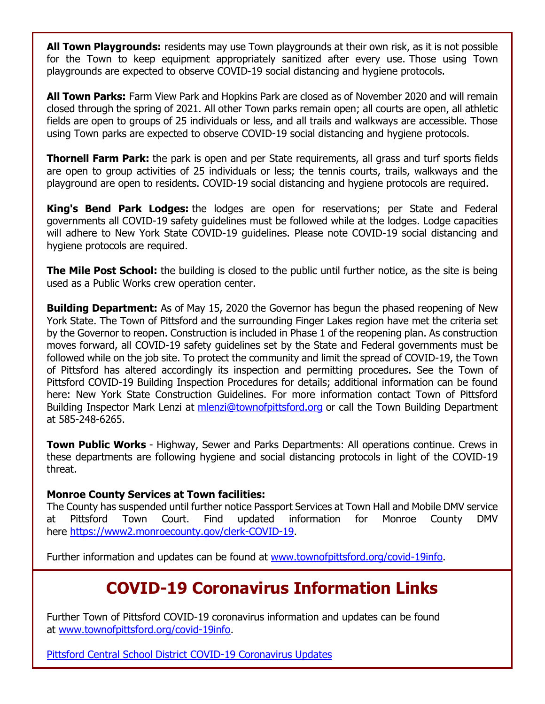**All Town Playgrounds:** residents may use Town playgrounds at their own risk, as it is not possible for the Town to keep equipment appropriately sanitized after every use. Those using Town playgrounds are expected to observe COVID-19 social distancing and hygiene protocols.

**All Town Parks:** Farm View Park and Hopkins Park are closed as of November 2020 and will remain closed through the spring of 2021. All other Town parks remain open; all courts are open, all athletic fields are open to groups of 25 individuals or less, and all trails and walkways are accessible. Those using Town parks are expected to observe COVID-19 social distancing and hygiene protocols.

**Thornell Farm Park:** the park is open and per State requirements, all grass and turf sports fields are open to group activities of 25 individuals or less; the tennis courts, trails, walkways and the playground are open to residents. COVID-19 social distancing and hygiene protocols are required.

**King's Bend Park Lodges:** the lodges are open for reservations; per State and Federal governments all COVID-19 safety guidelines must be followed while at the lodges. Lodge capacities will adhere to New York State COVID-19 guidelines. Please note COVID-19 social distancing and hygiene protocols are required.

**The Mile Post School:** the building is closed to the public until further notice, as the site is being used as a Public Works crew operation center.

**Building Department:** As of May 15, 2020 the Governor has begun the phased reopening of New York State. The Town of Pittsford and the surrounding Finger Lakes region have met the criteria set by the Governor to reopen. Construction is included in Phase 1 of the reopening plan. As construction moves forward, all COVID-19 safety guidelines set by the State and Federal governments must be followed while on the job site. To protect the community and limit the spread of COVID-19, the Town of Pittsford has altered accordingly its inspection and permitting procedures. See the Town of Pittsford COVID-19 Building Inspection Procedures for details; additional information can be found here: New York State Construction Guidelines. For more information contact Town of Pittsford Building Inspector Mark Lenzi at [mlenzi@townofpittsford.org](mailto:mlenzi@townofpittsford.org?subject=COVID-19%20Construciton%20Information) or call the Town Building Department at 585-248-6265.

**Town Public Works** - Highway, Sewer and Parks Departments: All operations continue. Crews in these departments are following hygiene and social distancing protocols in light of the COVID-19 threat.

### **Monroe County Services at Town facilities:**

The County has suspended until further notice Passport Services at Town Hall and Mobile DMV service at Pittsford Town Court. Find updated information for Monroe County DMV here [https://www2.monroecounty.gov/clerk-COVID-19.](http://r20.rs6.net/tn.jsp?f=001HOCjVa93jxRJYQK1hMLnbkFhOHzMZvXzwcTIztmNL9VfxQeX1hX6J5Wtt25_jCGApr-JGB9ecs_FiIxy8KVLgmJIGiwtSMLHOvV6zazO04AOO227GqB-L0i7zhfGU5Kv8QCC17rQ25RJgIPs0cRUyY4Z0paa04ir6dhhKoFdpW0=&c=6Fr--cTMcikgPHx4lnAKqC8Fz8P8y4bRL1aA3FVeAv4T4B-ND5D13w==&ch=eGuSL1RILDTm87OtlrIWTC12tJYuAIwdBV8vQXCYGLfUZyC-irnybA==)

Further information and updates can be found at [www.townofpittsford.org/covid-19info.](http://r20.rs6.net/tn.jsp?f=001HOCjVa93jxRJYQK1hMLnbkFhOHzMZvXzwcTIztmNL9VfxQeX1hX6J3yMTK6jp10L6A3EgBv52aRMQ3K5S5Uhk8aN2tj4VVPaSqtHK2loe7rMe2D_m44umSdpLOrdQxib9HxOxSlRDa3YObtAciD-uObEcbLU6nh97O6wgE26pDk=&c=6Fr--cTMcikgPHx4lnAKqC8Fz8P8y4bRL1aA3FVeAv4T4B-ND5D13w==&ch=eGuSL1RILDTm87OtlrIWTC12tJYuAIwdBV8vQXCYGLfUZyC-irnybA==)

# **COVID-19 Coronavirus Information Links**

Further Town of Pittsford COVID-19 coronavirus information and updates can be found at [www.townofpittsford.org/covid-19info.](http://r20.rs6.net/tn.jsp?f=001HOCjVa93jxRJYQK1hMLnbkFhOHzMZvXzwcTIztmNL9VfxQeX1hX6J3yMTK6jp10L6A3EgBv52aRMQ3K5S5Uhk8aN2tj4VVPaSqtHK2loe7rMe2D_m44umSdpLOrdQxib9HxOxSlRDa3YObtAciD-uObEcbLU6nh97O6wgE26pDk=&c=6Fr--cTMcikgPHx4lnAKqC8Fz8P8y4bRL1aA3FVeAv4T4B-ND5D13w==&ch=eGuSL1RILDTm87OtlrIWTC12tJYuAIwdBV8vQXCYGLfUZyC-irnybA==)

[Pittsford Central School District COVID-19 Coronavirus Updates](http://r20.rs6.net/tn.jsp?f=001HOCjVa93jxRJYQK1hMLnbkFhOHzMZvXzwcTIztmNL9VfxQeX1hX6JySXPQcJAQQc9zZE43s4dNKf3kW8uo-27MW6dbGoYn9aZJdNUBjMkl2I1Kfgo19VplEOZv4enAqkZrwON1F6_za7BLIXtc3-9dGVQL10wMD4OoJRrmhV4Y3XSf4bOND_dw==&c=6Fr--cTMcikgPHx4lnAKqC8Fz8P8y4bRL1aA3FVeAv4T4B-ND5D13w==&ch=eGuSL1RILDTm87OtlrIWTC12tJYuAIwdBV8vQXCYGLfUZyC-irnybA==)